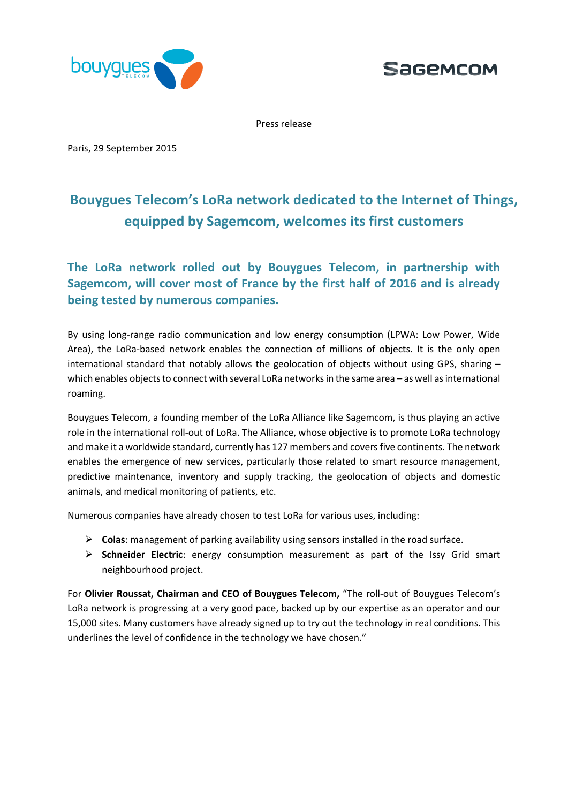



Press release

Paris, 29 September 2015

# **Bouygues Telecom's LoRa network dedicated to the Internet of Things, equipped by Sagemcom, welcomes its first customers**

**The LoRa network rolled out by Bouygues Telecom, in partnership with Sagemcom, will cover most of France by the first half of 2016 and is already being tested by numerous companies.**

By using long-range radio communication and low energy consumption (LPWA: Low Power, Wide Area), the LoRa-based network enables the connection of millions of objects. It is the only open international standard that notably allows the geolocation of objects without using GPS, sharing – which enables objects to connect with several LoRa networks in the same area - as well as international roaming.

Bouygues Telecom, a founding member of the LoRa Alliance like Sagemcom, is thus playing an active role in the international roll-out of LoRa. The Alliance, whose objective is to promote LoRa technology and make it a worldwide standard, currently has 127 members and covers five continents. The network enables the emergence of new services, particularly those related to smart resource management, predictive maintenance, inventory and supply tracking, the geolocation of objects and domestic animals, and medical monitoring of patients, etc.

Numerous companies have already chosen to test LoRa for various uses, including:

- **Colas**: management of parking availability using sensors installed in the road surface.
- **Schneider Electric**: energy consumption measurement as part of the Issy Grid smart neighbourhood project.

For **Olivier Roussat, Chairman and CEO of Bouygues Telecom,** "The roll-out of Bouygues Telecom's LoRa network is progressing at a very good pace, backed up by our expertise as an operator and our 15,000 sites. Many customers have already signed up to try out the technology in real conditions. This underlines the level of confidence in the technology we have chosen."